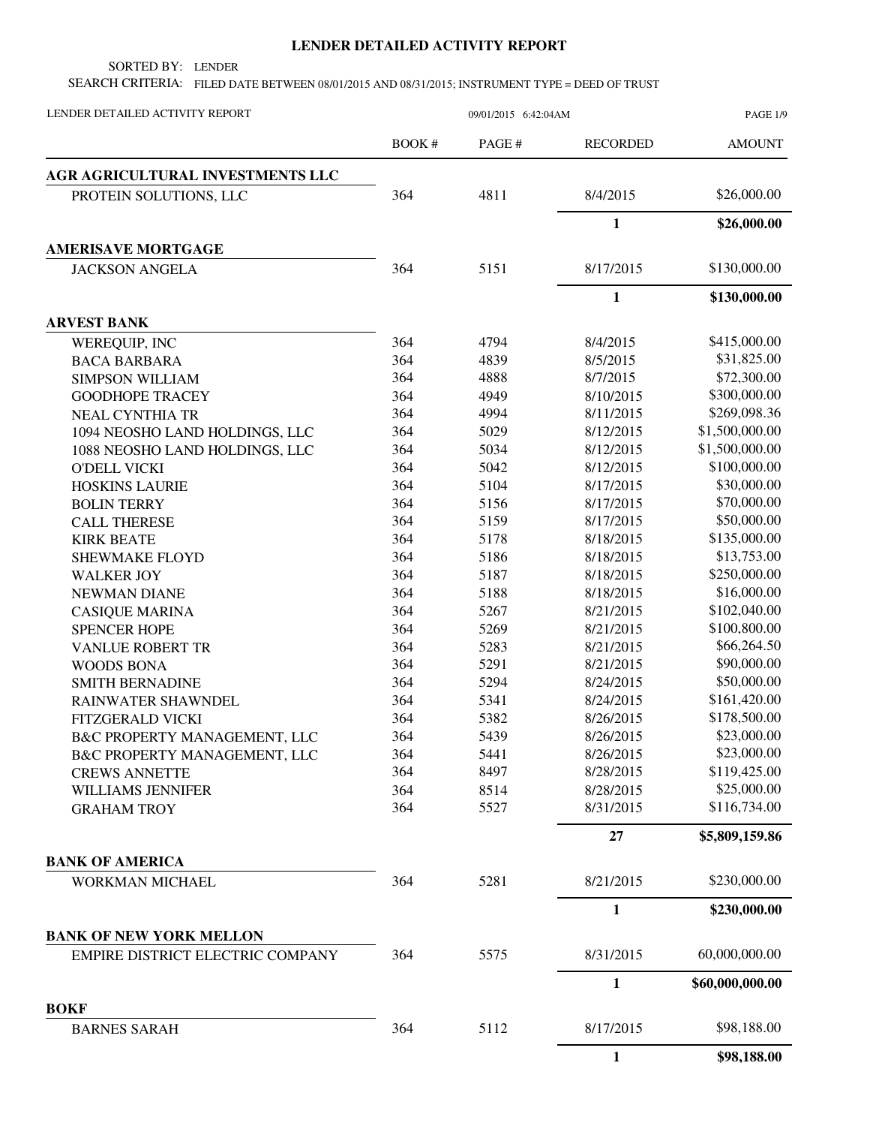## **LENDER DETAILED ACTIVITY REPORT**

SORTED BY: LENDER

SEARCH CRITERIA: FILED DATE BETWEEN 08/01/2015 AND 08/31/2015; INSTRUMENT TYPE = DEED OF TRUST

| LENDER DETAILED ACTIVITY REPORT    | 09/01/2015 6:42:04AM |       |                 | <b>PAGE 1/9</b> |
|------------------------------------|----------------------|-------|-----------------|-----------------|
|                                    | BOOK #               | PAGE# | <b>RECORDED</b> | <b>AMOUNT</b>   |
| AGR AGRICULTURAL INVESTMENTS LLC   |                      |       |                 |                 |
| PROTEIN SOLUTIONS, LLC             | 364                  | 4811  | 8/4/2015        | \$26,000.00     |
|                                    |                      |       | $\mathbf{1}$    | \$26,000.00     |
| <b>AMERISAVE MORTGAGE</b>          |                      |       |                 |                 |
| <b>JACKSON ANGELA</b>              | 364                  | 5151  | 8/17/2015       | \$130,000.00    |
|                                    |                      |       | $\mathbf{1}$    | \$130,000.00    |
| <b>ARVEST BANK</b>                 |                      |       |                 |                 |
| WEREQUIP, INC                      | 364                  | 4794  | 8/4/2015        | \$415,000.00    |
| <b>BACA BARBARA</b>                | 364                  | 4839  | 8/5/2015        | \$31,825.00     |
| <b>SIMPSON WILLIAM</b>             | 364                  | 4888  | 8/7/2015        | \$72,300.00     |
| <b>GOODHOPE TRACEY</b>             | 364                  | 4949  | 8/10/2015       | \$300,000.00    |
| <b>NEAL CYNTHIA TR</b>             | 364                  | 4994  | 8/11/2015       | \$269,098.36    |
| 1094 NEOSHO LAND HOLDINGS, LLC     | 364                  | 5029  | 8/12/2015       | \$1,500,000.00  |
| 1088 NEOSHO LAND HOLDINGS, LLC     | 364                  | 5034  | 8/12/2015       | \$1,500,000.00  |
| <b>O'DELL VICKI</b>                | 364                  | 5042  | 8/12/2015       | \$100,000.00    |
| <b>HOSKINS LAURIE</b>              | 364                  | 5104  | 8/17/2015       | \$30,000.00     |
| <b>BOLIN TERRY</b>                 | 364                  | 5156  | 8/17/2015       | \$70,000.00     |
| <b>CALL THERESE</b>                | 364                  | 5159  | 8/17/2015       | \$50,000.00     |
| <b>KIRK BEATE</b>                  | 364                  | 5178  | 8/18/2015       | \$135,000.00    |
| <b>SHEWMAKE FLOYD</b>              | 364                  | 5186  | 8/18/2015       | \$13,753.00     |
| <b>WALKER JOY</b>                  | 364                  | 5187  | 8/18/2015       | \$250,000.00    |
| NEWMAN DIANE                       | 364                  | 5188  | 8/18/2015       | \$16,000.00     |
| <b>CASIQUE MARINA</b>              | 364                  | 5267  | 8/21/2015       | \$102,040.00    |
| <b>SPENCER HOPE</b>                | 364                  | 5269  | 8/21/2015       | \$100,800.00    |
| <b>VANLUE ROBERT TR</b>            | 364                  | 5283  | 8/21/2015       | \$66,264.50     |
| <b>WOODS BONA</b>                  | 364                  | 5291  | 8/21/2015       | \$90,000.00     |
| <b>SMITH BERNADINE</b>             | 364                  | 5294  | 8/24/2015       | \$50,000.00     |
| RAINWATER SHAWNDEL                 | 364                  | 5341  | 8/24/2015       | \$161,420.00    |
| <b>FITZGERALD VICKI</b>            | 364                  | 5382  | 8/26/2015       | \$178,500.00    |
| B&C PROPERTY MANAGEMENT, LLC       | 364                  | 5439  | 8/26/2015       | \$23,000.00     |
| B&C PROPERTY MANAGEMENT, LLC       | 364                  | 5441  | 8/26/2015       | \$23,000.00     |
| <b>CREWS ANNETTE</b>               | 364                  | 8497  | 8/28/2015       | \$119,425.00    |
| <b>WILLIAMS JENNIFER</b>           | 364                  | 8514  | 8/28/2015       | \$25,000.00     |
| <b>GRAHAM TROY</b>                 | 364                  | 5527  | 8/31/2015       | \$116,734.00    |
|                                    |                      |       | 27              | \$5,809,159.86  |
| <b>BANK OF AMERICA</b>             |                      |       |                 |                 |
| WORKMAN MICHAEL                    | 364                  | 5281  | 8/21/2015       | \$230,000.00    |
|                                    |                      |       | 1               | \$230,000.00    |
| <b>BANK OF NEW YORK MELLON</b>     |                      |       |                 |                 |
| EMPIRE DISTRICT ELECTRIC COMPANY   | 364                  | 5575  | 8/31/2015       | 60,000,000.00   |
|                                    |                      |       | $\mathbf{1}$    | \$60,000,000.00 |
| <b>BOKF</b><br><b>BARNES SARAH</b> | 364                  | 5112  | 8/17/2015       | \$98,188.00     |
|                                    |                      |       | 1               | \$98,188.00     |
|                                    |                      |       |                 |                 |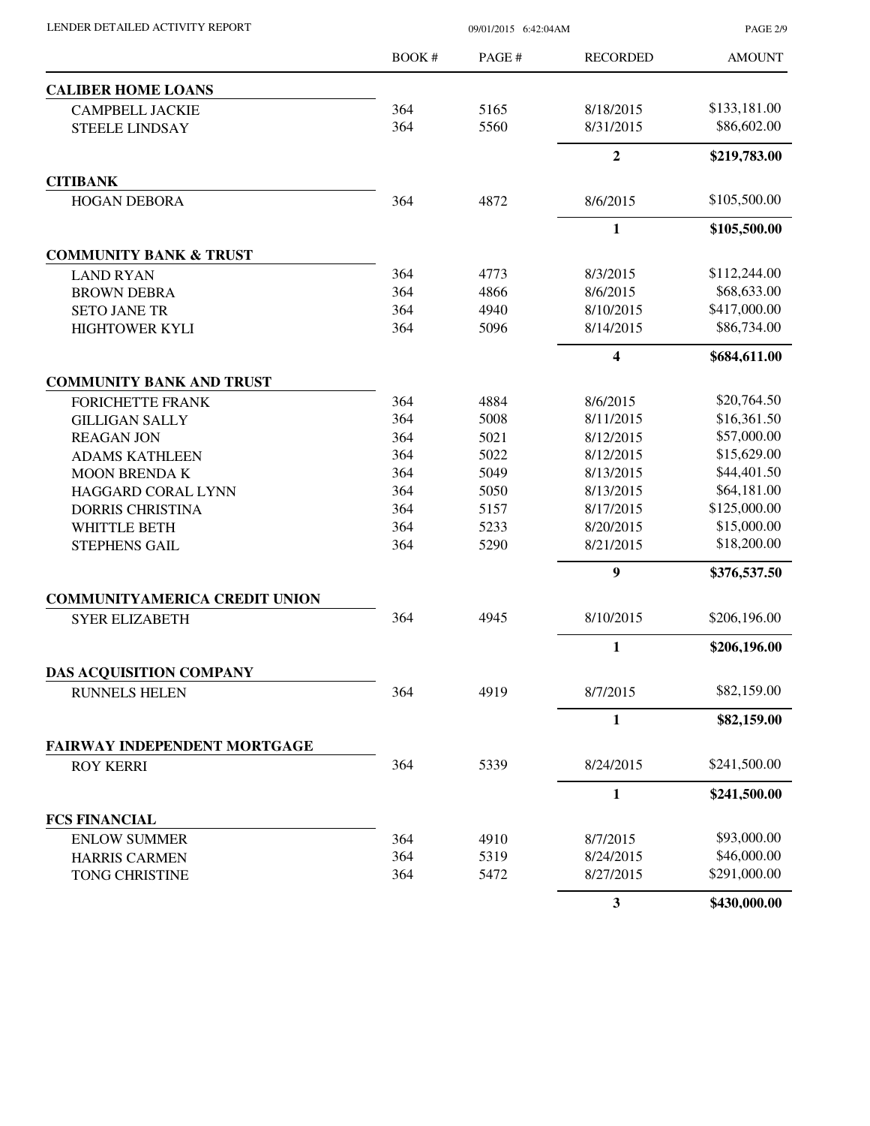PAGE 2/9

|                                      | <b>BOOK#</b> | PAGE# | <b>RECORDED</b> | <b>AMOUNT</b> |
|--------------------------------------|--------------|-------|-----------------|---------------|
| <b>CALIBER HOME LOANS</b>            |              |       |                 |               |
| <b>CAMPBELL JACKIE</b>               | 364          | 5165  | 8/18/2015       | \$133,181.00  |
| <b>STEELE LINDSAY</b>                | 364          | 5560  | 8/31/2015       | \$86,602.00   |
|                                      |              |       | $\mathbf{2}$    | \$219,783.00  |
| <b>CITIBANK</b>                      |              |       |                 |               |
| <b>HOGAN DEBORA</b>                  | 364          | 4872  | 8/6/2015        | \$105,500.00  |
|                                      |              |       | $\mathbf{1}$    | \$105,500.00  |
| <b>COMMUNITY BANK &amp; TRUST</b>    |              |       |                 |               |
| <b>LAND RYAN</b>                     | 364          | 4773  | 8/3/2015        | \$112,244.00  |
| <b>BROWN DEBRA</b>                   | 364          | 4866  | 8/6/2015        | \$68,633.00   |
| <b>SETO JANE TR</b>                  | 364          | 4940  | 8/10/2015       | \$417,000.00  |
| <b>HIGHTOWER KYLI</b>                | 364          | 5096  | 8/14/2015       | \$86,734.00   |
|                                      |              |       | 4               | \$684,611.00  |
| <b>COMMUNITY BANK AND TRUST</b>      |              |       |                 |               |
| <b>FORICHETTE FRANK</b>              | 364          | 4884  | 8/6/2015        | \$20,764.50   |
| <b>GILLIGAN SALLY</b>                | 364          | 5008  | 8/11/2015       | \$16,361.50   |
| <b>REAGAN JON</b>                    | 364          | 5021  | 8/12/2015       | \$57,000.00   |
| <b>ADAMS KATHLEEN</b>                | 364          | 5022  | 8/12/2015       | \$15,629.00   |
| <b>MOON BRENDA K</b>                 | 364          | 5049  | 8/13/2015       | \$44,401.50   |
| <b>HAGGARD CORAL LYNN</b>            | 364          | 5050  | 8/13/2015       | \$64,181.00   |
| <b>DORRIS CHRISTINA</b>              | 364          | 5157  | 8/17/2015       | \$125,000.00  |
| <b>WHITTLE BETH</b>                  | 364          | 5233  | 8/20/2015       | \$15,000.00   |
| <b>STEPHENS GAIL</b>                 | 364          | 5290  | 8/21/2015       | \$18,200.00   |
|                                      |              |       | 9               | \$376,537.50  |
| <b>COMMUNITYAMERICA CREDIT UNION</b> |              |       |                 |               |
| <b>SYER ELIZABETH</b>                | 364          | 4945  | 8/10/2015       | \$206,196.00  |
|                                      |              |       | $\mathbf{1}$    | \$206,196.00  |
| <b>DAS ACQUISITION COMPANY</b>       |              |       |                 |               |
| <b>RUNNELS HELEN</b>                 | 364          | 4919  | 8/7/2015        | \$82,159.00   |
|                                      |              |       | $\mathbf{1}$    | \$82,159.00   |
| FAIRWAY INDEPENDENT MORTGAGE         |              |       |                 |               |
| <b>ROY KERRI</b>                     | 364          | 5339  | 8/24/2015       | \$241,500.00  |
|                                      |              |       | 1               | \$241,500.00  |
| <b>FCS FINANCIAL</b>                 |              |       |                 |               |
| <b>ENLOW SUMMER</b>                  | 364          | 4910  | 8/7/2015        | \$93,000.00   |
| <b>HARRIS CARMEN</b>                 | 364          | 5319  | 8/24/2015       | \$46,000.00   |
| TONG CHRISTINE                       | 364          | 5472  | 8/27/2015       | \$291,000.00  |
|                                      |              |       | $\mathbf{3}$    | \$430,000.00  |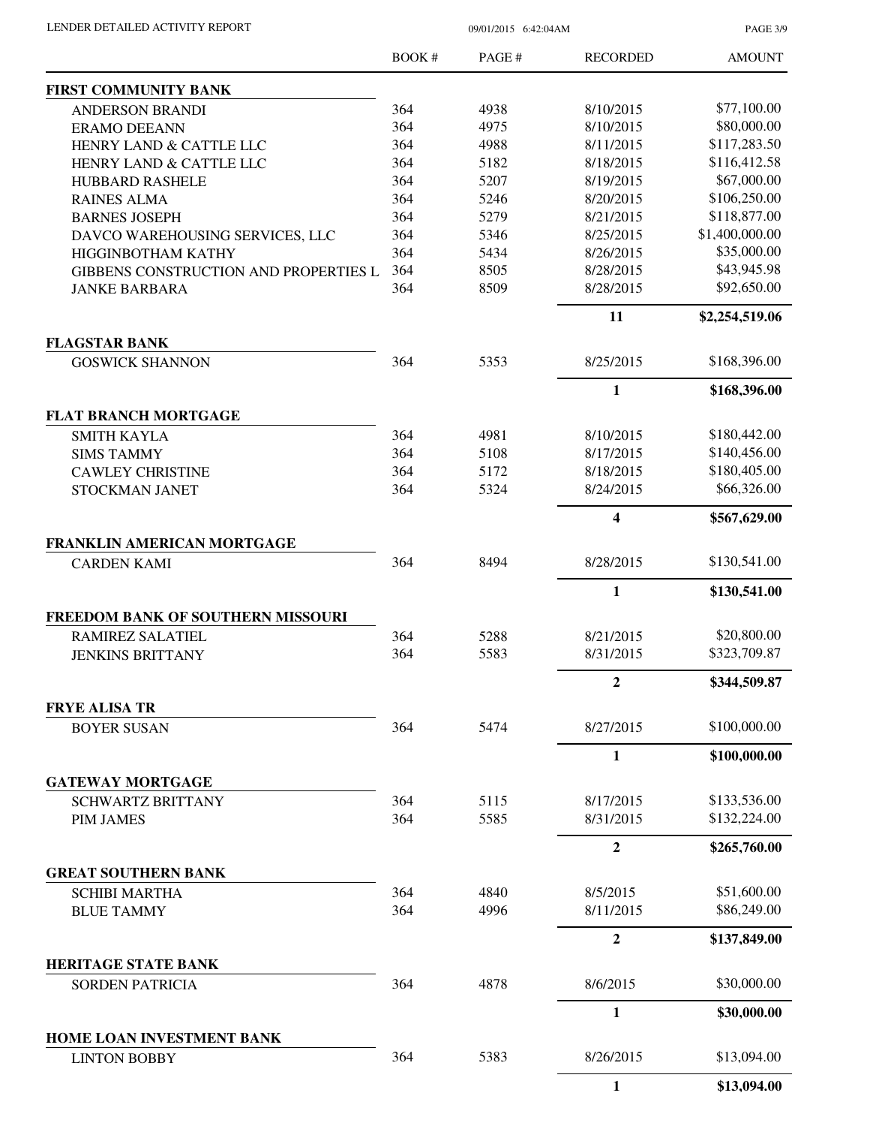PAGE 3/9

|                                                   | <b>BOOK#</b> | PAGE# | <b>RECORDED</b>         | <b>AMOUNT</b>  |
|---------------------------------------------------|--------------|-------|-------------------------|----------------|
| <b>FIRST COMMUNITY BANK</b>                       |              |       |                         |                |
| <b>ANDERSON BRANDI</b>                            | 364          | 4938  | 8/10/2015               | \$77,100.00    |
| <b>ERAMO DEEANN</b>                               | 364          | 4975  | 8/10/2015               | \$80,000.00    |
| HENRY LAND & CATTLE LLC                           | 364          | 4988  | 8/11/2015               | \$117,283.50   |
| HENRY LAND & CATTLE LLC                           | 364          | 5182  | 8/18/2015               | \$116,412.58   |
| HUBBARD RASHELE                                   | 364          | 5207  | 8/19/2015               | \$67,000.00    |
| <b>RAINES ALMA</b>                                | 364          | 5246  | 8/20/2015               | \$106,250.00   |
| <b>BARNES JOSEPH</b>                              | 364          | 5279  | 8/21/2015               | \$118,877.00   |
| DAVCO WAREHOUSING SERVICES, LLC                   | 364          | 5346  | 8/25/2015               | \$1,400,000.00 |
| HIGGINBOTHAM KATHY                                | 364          | 5434  | 8/26/2015               | \$35,000.00    |
| GIBBENS CONSTRUCTION AND PROPERTIES L             | 364          | 8505  | 8/28/2015               | \$43,945.98    |
| <b>JANKE BARBARA</b>                              | 364          | 8509  | 8/28/2015               | \$92,650.00    |
|                                                   |              |       | 11                      | \$2,254,519.06 |
| <b>FLAGSTAR BANK</b>                              | 364          | 5353  | 8/25/2015               | \$168,396.00   |
| <b>GOSWICK SHANNON</b>                            |              |       |                         |                |
|                                                   |              |       | 1                       | \$168,396.00   |
| <b>FLAT BRANCH MORTGAGE</b><br><b>SMITH KAYLA</b> | 364          | 4981  | 8/10/2015               | \$180,442.00   |
| <b>SIMS TAMMY</b>                                 | 364          | 5108  | 8/17/2015               | \$140,456.00   |
| <b>CAWLEY CHRISTINE</b>                           | 364          | 5172  | 8/18/2015               | \$180,405.00   |
| STOCKMAN JANET                                    | 364          | 5324  | 8/24/2015               | \$66,326.00    |
|                                                   |              |       | $\overline{\mathbf{4}}$ | \$567,629.00   |
| FRANKLIN AMERICAN MORTGAGE                        |              |       |                         |                |
| <b>CARDEN KAMI</b>                                | 364          | 8494  | 8/28/2015               | \$130,541.00   |
|                                                   |              |       | 1                       | \$130,541.00   |
| FREEDOM BANK OF SOUTHERN MISSOURI                 |              |       |                         |                |
| <b>RAMIREZ SALATIEL</b>                           | 364          | 5288  | 8/21/2015               | \$20,800.00    |
| <b>JENKINS BRITTANY</b>                           | 364          | 5583  | 8/31/2015               | \$323,709.87   |
|                                                   |              |       | 2                       | \$344,509.87   |
| <b>FRYE ALISA TR</b>                              |              |       |                         |                |
| <b>BOYER SUSAN</b>                                | 364          | 5474  | 8/27/2015               | \$100,000.00   |
|                                                   |              |       | $\mathbf{1}$            | \$100,000.00   |
| <b>GATEWAY MORTGAGE</b>                           |              |       |                         |                |
| <b>SCHWARTZ BRITTANY</b>                          | 364          | 5115  | 8/17/2015               | \$133,536.00   |
| <b>PIM JAMES</b>                                  | 364          | 5585  | 8/31/2015               | \$132,224.00   |
|                                                   |              |       | $\overline{2}$          | \$265,760.00   |
| <b>GREAT SOUTHERN BANK</b>                        |              |       |                         |                |
| <b>SCHIBI MARTHA</b>                              | 364          | 4840  | 8/5/2015                | \$51,600.00    |
| <b>BLUE TAMMY</b>                                 | 364          | 4996  | 8/11/2015               | \$86,249.00    |
|                                                   |              |       | $\boldsymbol{2}$        | \$137,849.00   |
| <b>HERITAGE STATE BANK</b>                        |              |       |                         | \$30,000.00    |
| <b>SORDEN PATRICIA</b>                            | 364          | 4878  | 8/6/2015                |                |
|                                                   |              |       | 1                       | \$30,000.00    |
| HOME LOAN INVESTMENT BANK<br><b>LINTON BOBBY</b>  | 364          | 5383  | 8/26/2015               | \$13,094.00    |
|                                                   |              |       | $\mathbf{1}$            | \$13,094.00    |
|                                                   |              |       |                         |                |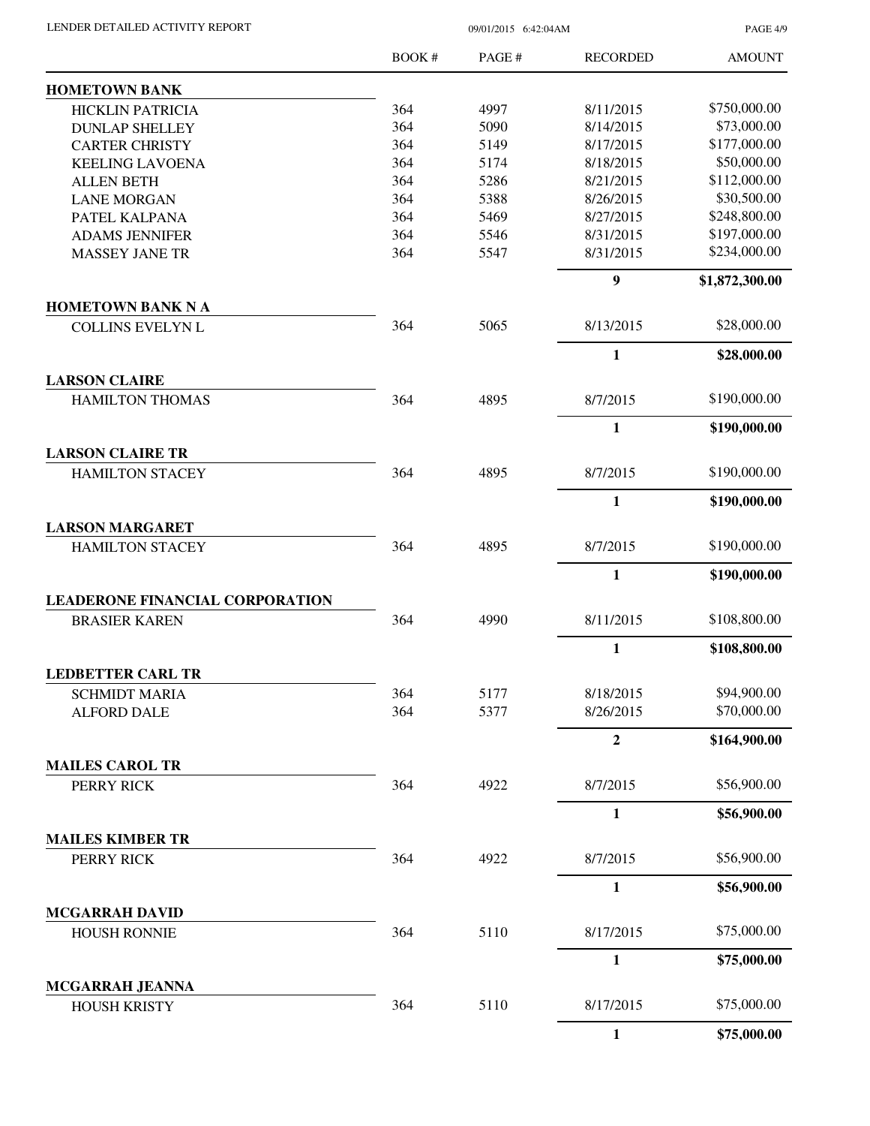| LENDER DETAILED ACTIVITY REPORT |  |
|---------------------------------|--|
|                                 |  |

09/01/2015 6:42:04AM

PAGE 4/9

|                                                   | <b>BOOK#</b> | PAGE# | <b>RECORDED</b> | <b>AMOUNT</b>  |
|---------------------------------------------------|--------------|-------|-----------------|----------------|
| <b>HOMETOWN BANK</b>                              |              |       |                 |                |
| <b>HICKLIN PATRICIA</b>                           | 364          | 4997  | 8/11/2015       | \$750,000.00   |
| <b>DUNLAP SHELLEY</b>                             | 364          | 5090  | 8/14/2015       | \$73,000.00    |
| <b>CARTER CHRISTY</b>                             | 364          | 5149  | 8/17/2015       | \$177,000.00   |
| <b>KEELING LAVOENA</b>                            | 364          | 5174  | 8/18/2015       | \$50,000.00    |
| <b>ALLEN BETH</b>                                 | 364          | 5286  | 8/21/2015       | \$112,000.00   |
| <b>LANE MORGAN</b>                                | 364          | 5388  | 8/26/2015       | \$30,500.00    |
| PATEL KALPANA                                     | 364          | 5469  | 8/27/2015       | \$248,800.00   |
| <b>ADAMS JENNIFER</b>                             | 364          | 5546  | 8/31/2015       | \$197,000.00   |
| <b>MASSEY JANE TR</b>                             | 364          | 5547  | 8/31/2015       | \$234,000.00   |
|                                                   |              |       | 9               | \$1,872,300.00 |
| <b>HOMETOWN BANK N A</b>                          |              |       |                 |                |
| <b>COLLINS EVELYN L</b>                           | 364          | 5065  | 8/13/2015       | \$28,000.00    |
|                                                   |              |       | $\mathbf{1}$    | \$28,000.00    |
| <b>LARSON CLAIRE</b>                              |              |       |                 |                |
| <b>HAMILTON THOMAS</b>                            | 364          | 4895  | 8/7/2015        | \$190,000.00   |
|                                                   |              |       | $\mathbf{1}$    | \$190,000.00   |
| <b>LARSON CLAIRE TR</b><br><b>HAMILTON STACEY</b> | 364          | 4895  | 8/7/2015        | \$190,000.00   |
|                                                   |              |       | $\mathbf{1}$    | \$190,000.00   |
| <b>LARSON MARGARET</b>                            |              |       |                 |                |
| <b>HAMILTON STACEY</b>                            | 364          | 4895  | 8/7/2015        | \$190,000.00   |
|                                                   |              |       | $\mathbf{1}$    | \$190,000.00   |
| <b>LEADERONE FINANCIAL CORPORATION</b>            |              |       |                 |                |
| <b>BRASIER KAREN</b>                              | 364          | 4990  | 8/11/2015       | \$108,800.00   |
|                                                   |              |       | $\mathbf{1}$    | \$108,800.00   |
| <b>LEDBETTER CARL TR</b>                          |              |       |                 |                |
| <b>SCHMIDT MARIA</b>                              | 364          | 5177  | 8/18/2015       | \$94,900.00    |
| <b>ALFORD DALE</b>                                | 364          | 5377  | 8/26/2015       | \$70,000.00    |
|                                                   |              |       | $\overline{2}$  | \$164,900.00   |
| <b>MAILES CAROL TR</b>                            |              |       |                 |                |
| PERRY RICK                                        | 364          | 4922  | 8/7/2015        | \$56,900.00    |
|                                                   |              |       | 1               | \$56,900.00    |
| <b>MAILES KIMBER TR</b>                           |              |       |                 |                |
| PERRY RICK                                        | 364          | 4922  | 8/7/2015        | \$56,900.00    |
|                                                   |              |       | $\mathbf{1}$    | \$56,900.00    |
| <b>MCGARRAH DAVID</b>                             |              |       |                 |                |
| <b>HOUSH RONNIE</b>                               | 364          | 5110  | 8/17/2015       | \$75,000.00    |
|                                                   |              |       | $\mathbf{1}$    | \$75,000.00    |
| MCGARRAH JEANNA<br><b>HOUSH KRISTY</b>            | 364          | 5110  | 8/17/2015       | \$75,000.00    |
|                                                   |              |       | $\mathbf{1}$    | \$75,000.00    |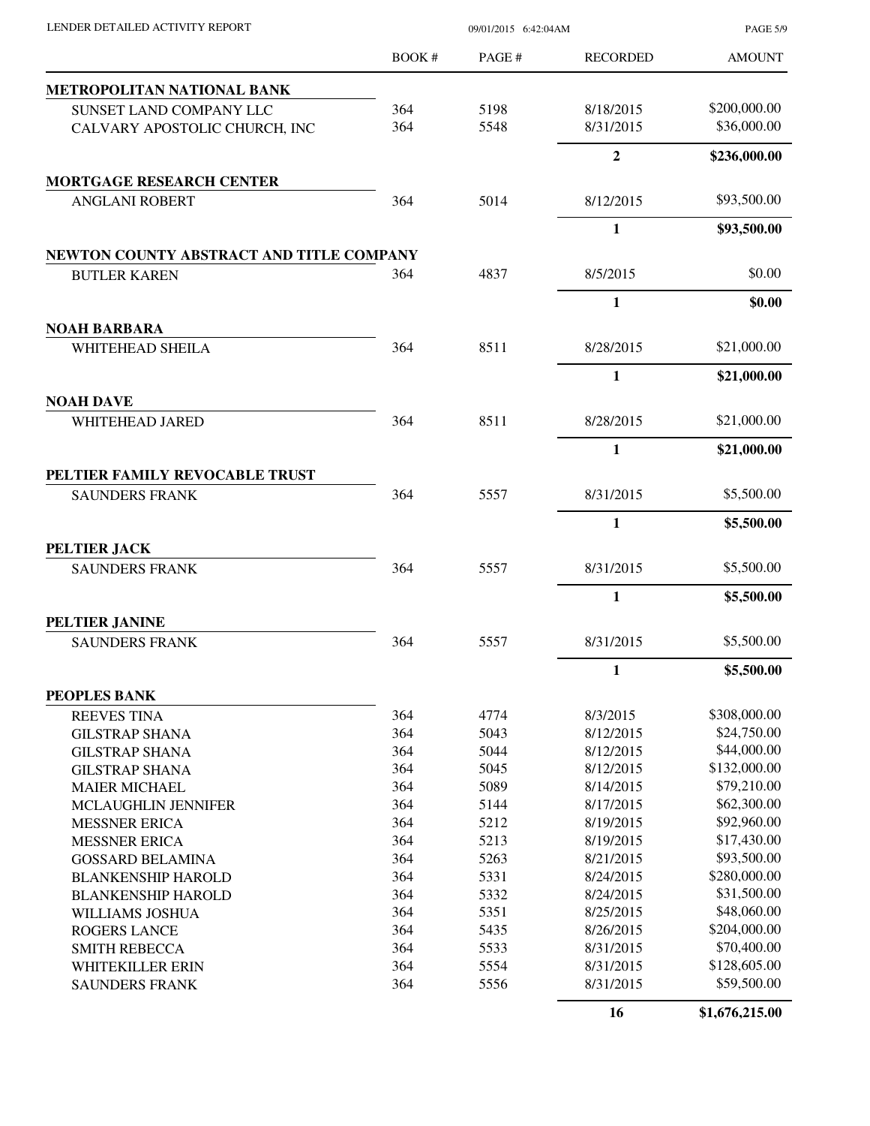| LENDER DETAILED ACTIVITY REPORT          | 09/01/2015 6:42:04AM |       |                 | <b>PAGE 5/9</b> |
|------------------------------------------|----------------------|-------|-----------------|-----------------|
|                                          | BOOK #               | PAGE# | <b>RECORDED</b> | <b>AMOUNT</b>   |
| METROPOLITAN NATIONAL BANK               |                      |       |                 |                 |
| SUNSET LAND COMPANY LLC                  | 364                  | 5198  | 8/18/2015       | \$200,000.00    |
| CALVARY APOSTOLIC CHURCH, INC            | 364                  | 5548  | 8/31/2015       | \$36,000.00     |
|                                          |                      |       | $\mathbf{2}$    | \$236,000.00    |
| <b>MORTGAGE RESEARCH CENTER</b>          |                      |       |                 |                 |
| <b>ANGLANI ROBERT</b>                    | 364                  | 5014  | 8/12/2015       | \$93,500.00     |
|                                          |                      |       | $\mathbf{1}$    | \$93,500.00     |
| NEWTON COUNTY ABSTRACT AND TITLE COMPANY |                      |       |                 |                 |
| <b>BUTLER KAREN</b>                      | 364                  | 4837  | 8/5/2015        | \$0.00          |
|                                          |                      |       | 1               | \$0.00          |
| <b>NOAH BARBARA</b>                      |                      |       |                 |                 |
| WHITEHEAD SHEILA                         | 364                  | 8511  | 8/28/2015       | \$21,000.00     |
|                                          |                      |       | 1               | \$21,000.00     |
| <b>NOAH DAVE</b><br>WHITEHEAD JARED      | 364                  | 8511  | 8/28/2015       | \$21,000.00     |
|                                          |                      |       | $\mathbf{1}$    | \$21,000.00     |
| PELTIER FAMILY REVOCABLE TRUST           |                      |       |                 |                 |
| <b>SAUNDERS FRANK</b>                    | 364                  | 5557  | 8/31/2015       | \$5,500.00      |
|                                          |                      |       | $\mathbf{1}$    | \$5,500.00      |
| PELTIER JACK                             |                      |       |                 |                 |
| <b>SAUNDERS FRANK</b>                    | 364                  | 5557  | 8/31/2015       | \$5,500.00      |
|                                          |                      |       | 1               | \$5,500.00      |
| PELTIER JANINE                           |                      |       |                 |                 |
| <b>SAUNDERS FRANK</b>                    | 364                  | 5557  | 8/31/2015       | \$5,500.00      |
|                                          |                      |       | $\mathbf{1}$    | \$5,500.00      |
| PEOPLES BANK                             |                      |       |                 |                 |
| <b>REEVES TINA</b>                       | 364                  | 4774  | 8/3/2015        | \$308,000.00    |
| <b>GILSTRAP SHANA</b>                    | 364                  | 5043  | 8/12/2015       | \$24,750.00     |
| <b>GILSTRAP SHANA</b>                    | 364                  | 5044  | 8/12/2015       | \$44,000.00     |
| <b>GILSTRAP SHANA</b>                    | 364                  | 5045  | 8/12/2015       | \$132,000.00    |
| <b>MAIER MICHAEL</b>                     | 364                  | 5089  | 8/14/2015       | \$79,210.00     |
| MCLAUGHLIN JENNIFER                      | 364                  | 5144  | 8/17/2015       | \$62,300.00     |
| <b>MESSNER ERICA</b>                     | 364                  | 5212  | 8/19/2015       | \$92,960.00     |
| <b>MESSNER ERICA</b>                     | 364                  | 5213  | 8/19/2015       | \$17,430.00     |
| <b>GOSSARD BELAMINA</b>                  | 364                  | 5263  | 8/21/2015       | \$93,500.00     |
| <b>BLANKENSHIP HAROLD</b>                | 364                  | 5331  | 8/24/2015       | \$280,000.00    |
| <b>BLANKENSHIP HAROLD</b>                | 364                  | 5332  | 8/24/2015       | \$31,500.00     |
| WILLIAMS JOSHUA                          | 364                  | 5351  | 8/25/2015       | \$48,060.00     |
| <b>ROGERS LANCE</b>                      | 364                  | 5435  | 8/26/2015       | \$204,000.00    |
| <b>SMITH REBECCA</b>                     | 364                  | 5533  | 8/31/2015       | \$70,400.00     |
| WHITEKILLER ERIN                         | 364                  | 5554  | 8/31/2015       | \$128,605.00    |
| <b>SAUNDERS FRANK</b>                    | 364                  | 5556  | 8/31/2015       | \$59,500.00     |
|                                          |                      |       | 16              | \$1,676,215.00  |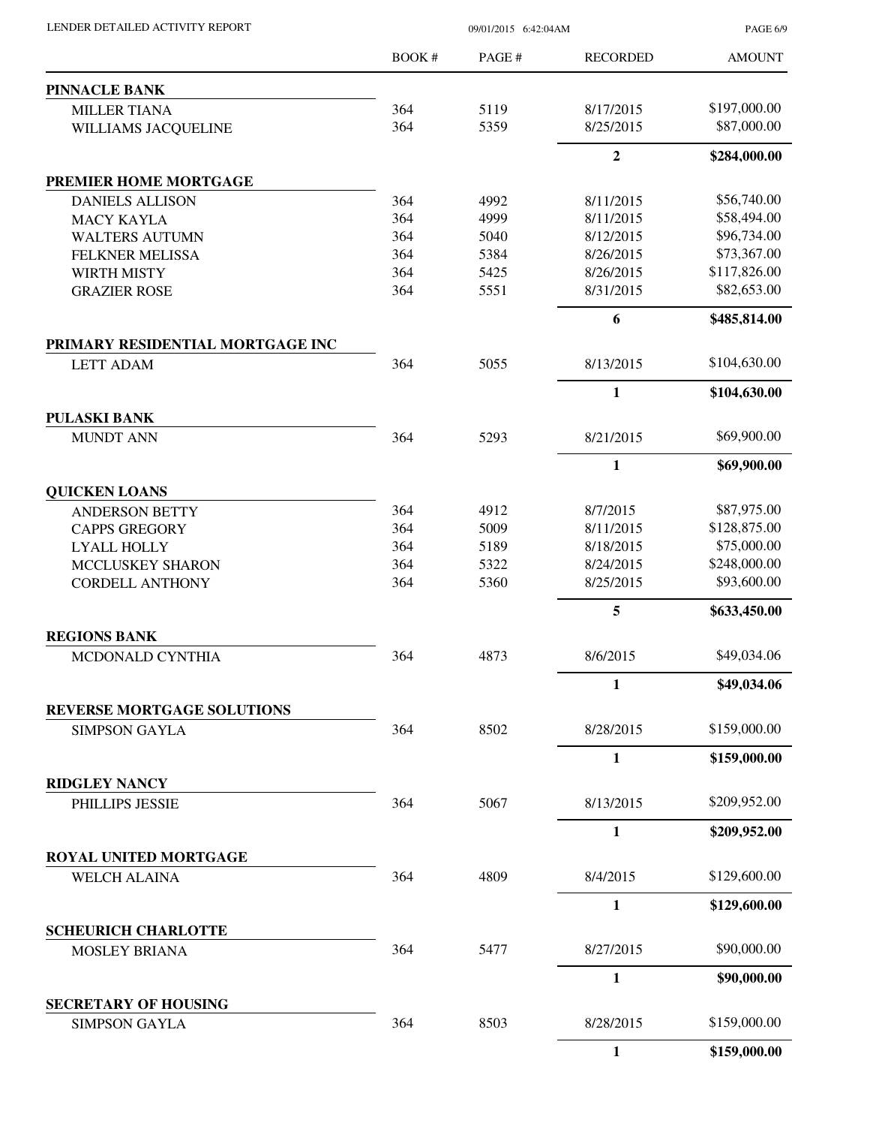| LENDER DETAILED ACTIVITY REPORT                      | 09/01/2015 6:42:04AM |       |                 | <b>PAGE 6/9</b> |
|------------------------------------------------------|----------------------|-------|-----------------|-----------------|
|                                                      | BOOK #               | PAGE# | <b>RECORDED</b> | <b>AMOUNT</b>   |
| <b>PINNACLE BANK</b>                                 |                      |       |                 |                 |
| <b>MILLER TIANA</b>                                  | 364                  | 5119  | 8/17/2015       | \$197,000.00    |
| WILLIAMS JACQUELINE                                  | 364                  | 5359  | 8/25/2015       | \$87,000.00     |
|                                                      |                      |       | $\overline{2}$  | \$284,000.00    |
| PREMIER HOME MORTGAGE                                |                      |       |                 |                 |
| <b>DANIELS ALLISON</b>                               | 364                  | 4992  | 8/11/2015       | \$56,740.00     |
| <b>MACY KAYLA</b>                                    | 364                  | 4999  | 8/11/2015       | \$58,494.00     |
| <b>WALTERS AUTUMN</b>                                | 364                  | 5040  | 8/12/2015       | \$96,734.00     |
| <b>FELKNER MELISSA</b>                               | 364                  | 5384  | 8/26/2015       | \$73,367.00     |
| WIRTH MISTY                                          | 364                  | 5425  | 8/26/2015       | \$117,826.00    |
| <b>GRAZIER ROSE</b>                                  | 364                  | 5551  | 8/31/2015       | \$82,653.00     |
|                                                      |                      |       | 6               | \$485,814.00    |
| PRIMARY RESIDENTIAL MORTGAGE INC<br><b>LETT ADAM</b> | 364                  | 5055  | 8/13/2015       | \$104,630.00    |
|                                                      |                      |       | $\mathbf{1}$    | \$104,630.00    |
| PULASKI BANK                                         |                      |       |                 |                 |
| <b>MUNDT ANN</b>                                     | 364                  | 5293  | 8/21/2015       | \$69,900.00     |
|                                                      |                      |       | $\mathbf{1}$    | \$69,900.00     |
| <b>QUICKEN LOANS</b>                                 |                      |       |                 |                 |
| <b>ANDERSON BETTY</b>                                | 364                  | 4912  | 8/7/2015        | \$87,975.00     |
| <b>CAPPS GREGORY</b>                                 | 364                  | 5009  | 8/11/2015       | \$128,875.00    |
| <b>LYALL HOLLY</b>                                   | 364                  | 5189  | 8/18/2015       | \$75,000.00     |
| MCCLUSKEY SHARON                                     | 364                  | 5322  | 8/24/2015       | \$248,000.00    |
| <b>CORDELL ANTHONY</b>                               | 364                  | 5360  | 8/25/2015       | \$93,600.00     |
|                                                      |                      |       | 5               | \$633,450.00    |
| <b>REGIONS BANK</b>                                  |                      |       |                 |                 |
| MCDONALD CYNTHIA                                     | 364                  | 4873  | 8/6/2015        | \$49,034.06     |
|                                                      |                      |       | 1               | \$49,034.06     |
| REVERSE MORTGAGE SOLUTIONS<br><b>SIMPSON GAYLA</b>   | 364                  | 8502  | 8/28/2015       | \$159,000.00    |
|                                                      |                      |       | $\mathbf{1}$    | \$159,000.00    |
| <b>RIDGLEY NANCY</b>                                 |                      |       |                 |                 |
| PHILLIPS JESSIE                                      | 364                  | 5067  | 8/13/2015       | \$209,952.00    |
|                                                      |                      |       | 1               | \$209,952.00    |
| ROYAL UNITED MORTGAGE                                |                      |       |                 |                 |
| <b>WELCH ALAINA</b>                                  | 364                  | 4809  | 8/4/2015        | \$129,600.00    |
|                                                      |                      |       | $\mathbf{1}$    | \$129,600.00    |
| <b>SCHEURICH CHARLOTTE</b>                           |                      |       |                 |                 |
| <b>MOSLEY BRIANA</b>                                 | 364                  | 5477  | 8/27/2015       | \$90,000.00     |
|                                                      |                      |       | 1               | \$90,000.00     |
| <b>SECRETARY OF HOUSING</b><br><b>SIMPSON GAYLA</b>  | 364                  | 8503  | 8/28/2015       | \$159,000.00    |
|                                                      |                      |       | $\mathbf{1}$    | \$159,000.00    |
|                                                      |                      |       |                 |                 |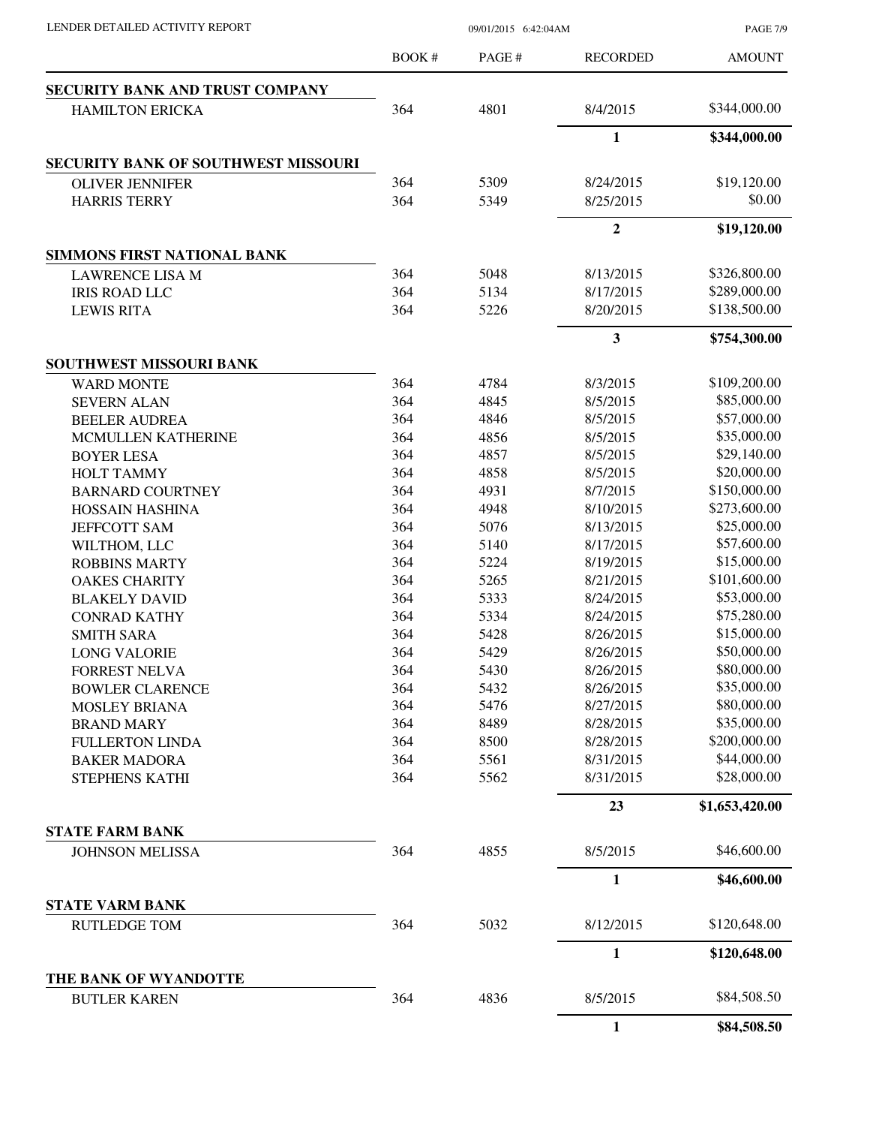PAGE 7/9

|                                              | <b>BOOK#</b> | PAGE# | <b>RECORDED</b>  | <b>AMOUNT</b>  |
|----------------------------------------------|--------------|-------|------------------|----------------|
| SECURITY BANK AND TRUST COMPANY              |              |       |                  |                |
| <b>HAMILTON ERICKA</b>                       | 364          | 4801  | 8/4/2015         | \$344,000.00   |
|                                              |              |       | 1                | \$344,000.00   |
| <b>SECURITY BANK OF SOUTHWEST MISSOURI</b>   |              |       |                  |                |
| <b>OLIVER JENNIFER</b>                       | 364          | 5309  | 8/24/2015        | \$19,120.00    |
| <b>HARRIS TERRY</b>                          | 364          | 5349  | 8/25/2015        | \$0.00         |
|                                              |              |       | $\boldsymbol{2}$ | \$19,120.00    |
| <b>SIMMONS FIRST NATIONAL BANK</b>           |              |       |                  |                |
| <b>LAWRENCE LISA M</b>                       | 364          | 5048  | 8/13/2015        | \$326,800.00   |
| <b>IRIS ROAD LLC</b>                         | 364          | 5134  | 8/17/2015        | \$289,000.00   |
| <b>LEWIS RITA</b>                            | 364          | 5226  | 8/20/2015        | \$138,500.00   |
|                                              |              |       | 3                | \$754,300.00   |
| <b>SOUTHWEST MISSOURI BANK</b>               |              |       |                  |                |
| <b>WARD MONTE</b>                            | 364          | 4784  | 8/3/2015         | \$109,200.00   |
| <b>SEVERN ALAN</b>                           | 364          | 4845  | 8/5/2015         | \$85,000.00    |
| <b>BEELER AUDREA</b>                         | 364          | 4846  | 8/5/2015         | \$57,000.00    |
| MCMULLEN KATHERINE                           | 364          | 4856  | 8/5/2015         | \$35,000.00    |
| <b>BOYER LESA</b>                            | 364          | 4857  | 8/5/2015         | \$29,140.00    |
| <b>HOLT TAMMY</b>                            | 364          | 4858  | 8/5/2015         | \$20,000.00    |
| <b>BARNARD COURTNEY</b>                      | 364          | 4931  | 8/7/2015         | \$150,000.00   |
| <b>HOSSAIN HASHINA</b>                       | 364          | 4948  | 8/10/2015        | \$273,600.00   |
| <b>JEFFCOTT SAM</b>                          | 364          | 5076  | 8/13/2015        | \$25,000.00    |
| WILTHOM, LLC                                 | 364          | 5140  | 8/17/2015        | \$57,600.00    |
| <b>ROBBINS MARTY</b>                         | 364          | 5224  | 8/19/2015        | \$15,000.00    |
| <b>OAKES CHARITY</b>                         | 364          | 5265  | 8/21/2015        | \$101,600.00   |
| <b>BLAKELY DAVID</b>                         | 364          | 5333  | 8/24/2015        | \$53,000.00    |
| <b>CONRAD KATHY</b>                          | 364          | 5334  | 8/24/2015        | \$75,280.00    |
| <b>SMITH SARA</b>                            | 364          | 5428  | 8/26/2015        | \$15,000.00    |
| <b>LONG VALORIE</b>                          | 364          | 5429  | 8/26/2015        | \$50,000.00    |
| <b>FORREST NELVA</b>                         | 364          | 5430  | 8/26/2015        | \$80,000.00    |
| <b>BOWLER CLARENCE</b>                       | 364          | 5432  | 8/26/2015        | \$35,000.00    |
| <b>MOSLEY BRIANA</b>                         | 364          | 5476  | 8/27/2015        | \$80,000.00    |
| <b>BRAND MARY</b>                            | 364          | 8489  | 8/28/2015        | \$35,000.00    |
| <b>FULLERTON LINDA</b>                       | 364          | 8500  | 8/28/2015        | \$200,000.00   |
| <b>BAKER MADORA</b>                          | 364          | 5561  | 8/31/2015        | \$44,000.00    |
| STEPHENS KATHI                               | 364          | 5562  | 8/31/2015        | \$28,000.00    |
|                                              |              |       | 23               | \$1,653,420.00 |
| <b>STATE FARM BANK</b>                       |              |       |                  | \$46,600.00    |
| <b>JOHNSON MELISSA</b>                       | 364          | 4855  | 8/5/2015         |                |
|                                              |              |       | $\mathbf{1}$     | \$46,600.00    |
| <b>STATE VARM BANK</b>                       |              |       |                  |                |
| <b>RUTLEDGE TOM</b>                          | 364          | 5032  | 8/12/2015        | \$120,648.00   |
|                                              |              |       | $\mathbf{1}$     | \$120,648.00   |
| THE BANK OF WYANDOTTE<br><b>BUTLER KAREN</b> | 364          | 4836  | 8/5/2015         | \$84,508.50    |
|                                              |              |       | $\mathbf{1}$     | \$84,508.50    |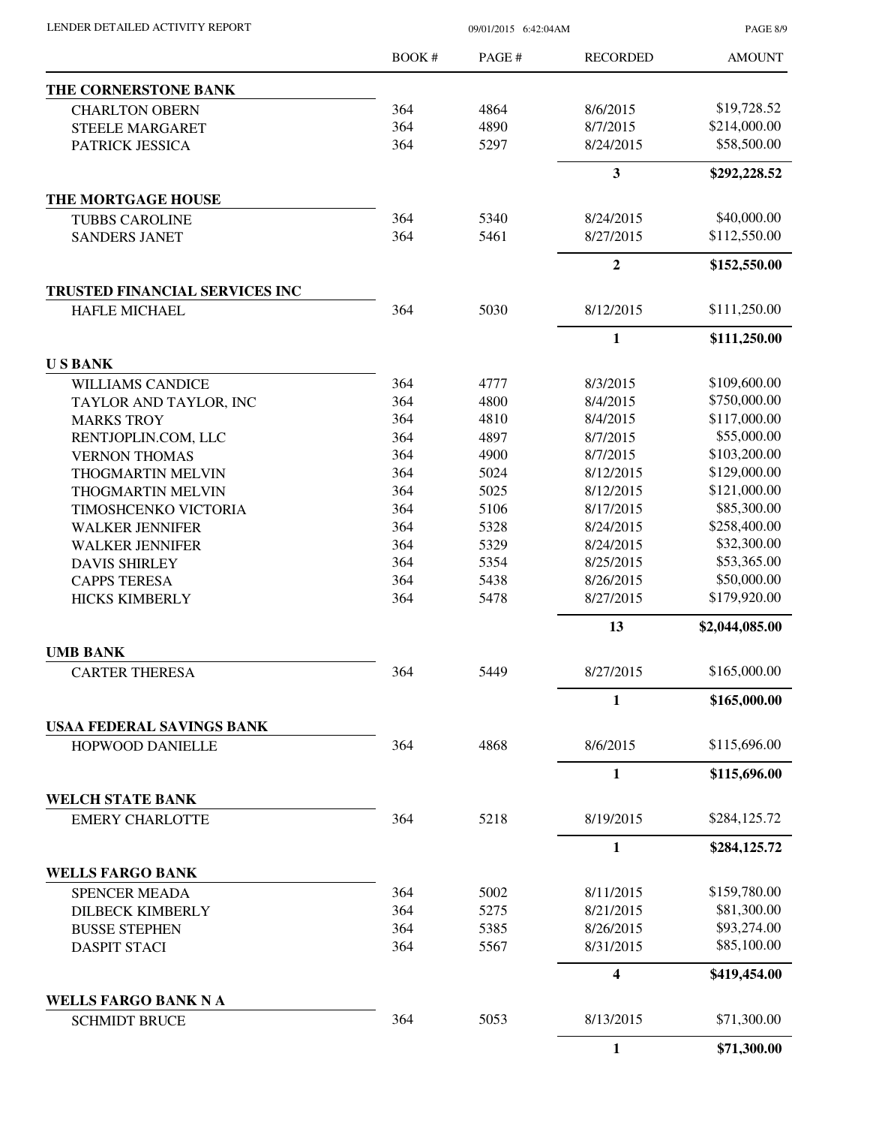PAGE 8/9

|                                                   | BOOK #     | PAGE #       | <b>RECORDED</b>         | <b>AMOUNT</b>                |
|---------------------------------------------------|------------|--------------|-------------------------|------------------------------|
| THE CORNERSTONE BANK                              |            |              |                         |                              |
| <b>CHARLTON OBERN</b>                             | 364        | 4864         | 8/6/2015                | \$19,728.52                  |
| <b>STEELE MARGARET</b>                            | 364        | 4890         | 8/7/2015                | \$214,000.00                 |
| PATRICK JESSICA                                   | 364        | 5297         | 8/24/2015               | \$58,500.00                  |
|                                                   |            |              | $\overline{\mathbf{3}}$ | \$292,228.52                 |
| THE MORTGAGE HOUSE                                |            |              |                         |                              |
| <b>TUBBS CAROLINE</b>                             | 364        | 5340         | 8/24/2015               | \$40,000.00                  |
| <b>SANDERS JANET</b>                              | 364        | 5461         | 8/27/2015               | \$112,550.00                 |
|                                                   |            |              | $\overline{2}$          | \$152,550.00                 |
| TRUSTED FINANCIAL SERVICES INC                    |            |              |                         |                              |
| <b>HAFLE MICHAEL</b>                              | 364        | 5030         | 8/12/2015               | \$111,250.00                 |
|                                                   |            |              | $\mathbf{1}$            | \$111,250.00                 |
| <b>USBANK</b>                                     |            |              |                         |                              |
| <b>WILLIAMS CANDICE</b>                           | 364<br>364 | 4777         | 8/3/2015                | \$109,600.00<br>\$750,000.00 |
| TAYLOR AND TAYLOR, INC                            |            | 4800         | 8/4/2015                | \$117,000.00                 |
| <b>MARKS TROY</b>                                 | 364<br>364 | 4810<br>4897 | 8/4/2015<br>8/7/2015    | \$55,000.00                  |
| RENTJOPLIN.COM, LLC                               | 364        | 4900         | 8/7/2015                | \$103,200.00                 |
| <b>VERNON THOMAS</b><br>THOGMARTIN MELVIN         | 364        | 5024         | 8/12/2015               | \$129,000.00                 |
| THOGMARTIN MELVIN                                 | 364        | 5025         | 8/12/2015               | \$121,000.00                 |
| TIMOSHCENKO VICTORIA                              | 364        | 5106         | 8/17/2015               | \$85,300.00                  |
| <b>WALKER JENNIFER</b>                            | 364        | 5328         | 8/24/2015               | \$258,400.00                 |
| <b>WALKER JENNIFER</b>                            | 364        | 5329         | 8/24/2015               | \$32,300.00                  |
| <b>DAVIS SHIRLEY</b>                              | 364        | 5354         | 8/25/2015               | \$53,365.00                  |
| <b>CAPPS TERESA</b>                               | 364        | 5438         | 8/26/2015               | \$50,000.00                  |
| <b>HICKS KIMBERLY</b>                             | 364        | 5478         | 8/27/2015               | \$179,920.00                 |
|                                                   |            |              | 13                      | \$2,044,085.00               |
| <b>UMB BANK</b>                                   |            |              |                         |                              |
| <b>CARTER THERESA</b>                             | 364        | 5449         | 8/27/2015               | \$165,000.00                 |
|                                                   |            |              | 1                       | \$165,000.00                 |
| USAA FEDERAL SAVINGS BANK                         |            |              |                         |                              |
| HOPWOOD DANIELLE                                  | 364        | 4868         | 8/6/2015                | \$115,696.00                 |
|                                                   |            |              | $\mathbf{1}$            | \$115,696.00                 |
| <b>WELCH STATE BANK</b><br><b>EMERY CHARLOTTE</b> | 364        | 5218         | 8/19/2015               | \$284,125.72                 |
|                                                   |            |              | $\mathbf{1}$            | \$284,125.72                 |
| <b>WELLS FARGO BANK</b>                           |            |              |                         |                              |
| <b>SPENCER MEADA</b>                              | 364        | 5002         | 8/11/2015               | \$159,780.00                 |
| <b>DILBECK KIMBERLY</b>                           | 364        | 5275         | 8/21/2015               | \$81,300.00                  |
| <b>BUSSE STEPHEN</b>                              | 364        | 5385         | 8/26/2015               | \$93,274.00                  |
| <b>DASPIT STACI</b>                               | 364        | 5567         | 8/31/2015               | \$85,100.00                  |
|                                                   |            |              | $\overline{\mathbf{4}}$ | \$419,454.00                 |
| <b>WELLS FARGO BANK N A</b>                       |            |              |                         |                              |
| <b>SCHMIDT BRUCE</b>                              | 364        | 5053         | 8/13/2015               | \$71,300.00                  |
|                                                   |            |              | $\mathbf{1}$            | \$71,300.00                  |